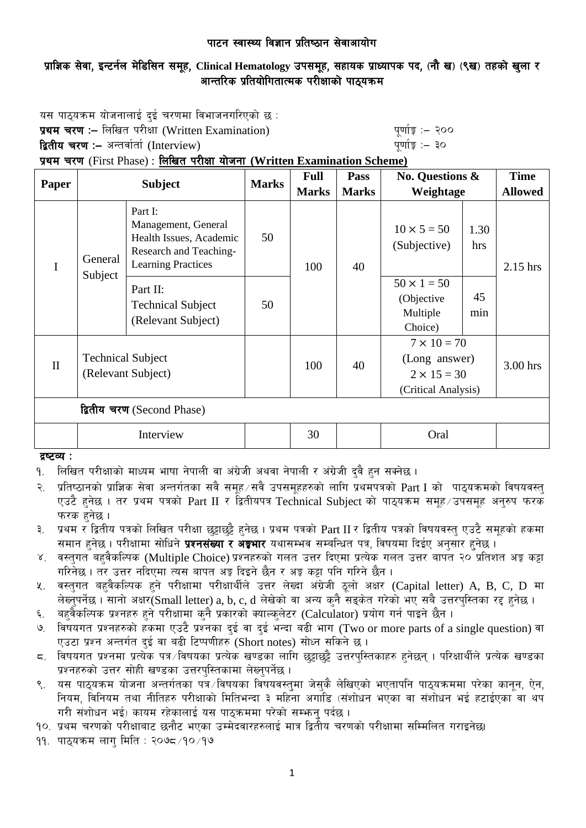# प्राज्ञिक सेवा, इन्टर्नल मेडिसिन समूह, Clinical Hematology उपसमूह, सहायक प्राध्यापक पद, (नौ ख) (९ख) तहको खुला र आन्तरिक प्रतियोगितात्मक परीक्षाको पाठयक्रम

यस पाठ्यक्रम योजनालाई दुई चरणमा विभाजनगरिएको छ :

**प्रथम चरण :–** लिखित परीक्षा (Written Examination) k" b" and any divisible and puting :– २००

द्वितीय चरण :– अन्तर्वार्ता (Interview) katalactic metal metal metal metal when  $\frac{1}{2}$  and  $\frac{1}{2}$ 

प्रथम चरण (First Phase) : लिखित परीक्षा योजना (Written Examination Scheme)

| Paper                      | <b>Subject</b>                                 |                                                                                                                  | <b>Marks</b> | <b>Full</b>  | Pass         | <b>No. Questions &amp;</b>                                                       |             | <b>Time</b>    |
|----------------------------|------------------------------------------------|------------------------------------------------------------------------------------------------------------------|--------------|--------------|--------------|----------------------------------------------------------------------------------|-------------|----------------|
|                            |                                                |                                                                                                                  |              | <b>Marks</b> | <b>Marks</b> | Weightage                                                                        |             | <b>Allowed</b> |
| $\mathbf I$                | General<br>Subject                             | Part I:<br>Management, General<br>Health Issues, Academic<br>Research and Teaching-<br><b>Learning Practices</b> | 50           | 100          | 40           | $10 \times 5 = 50$<br>(Subjective)                                               | 1.30<br>hrs | $2.15$ hrs     |
|                            |                                                | Part II:<br><b>Technical Subject</b><br>(Relevant Subject)                                                       | 50           |              |              | $50 \times 1 = 50$<br>(Objective<br>Multiple<br>Choice)                          | 45<br>min   |                |
| $\mathbf{I}$               | <b>Technical Subject</b><br>(Relevant Subject) |                                                                                                                  |              | 100          | 40           | $7 \times 10 = 70$<br>(Long answer)<br>$2 \times 15 = 30$<br>(Critical Analysis) |             | 3.00 hrs       |
| द्वितीय चरण (Second Phase) |                                                |                                                                                                                  |              |              |              |                                                                                  |             |                |
|                            | Interview                                      |                                                                                                                  |              | 30           |              | Oral                                                                             |             |                |

द्रष्टव्य :

१. लिखित परीक्षाको माध्यम भाषा नेपाली वा अंग्रेजी अथवा नेपाली र अंग्रेजी दुवै हुन सक्नेछ ।

२. प्रतिष्ठानको प्राज्ञिक सेवा अन्तर्गतका सवै समूह सवै उपसमूहहरुको लागि प्रथमपत्रको  $\operatorname{Part} \operatorname{I}$  को पाठ्यक्रमको विषयवस्त  $\nabla$ एउटै हनेछ । तर प्रथम पत्रको Part II र द्वितीयपत्र Technical Subiect को पाठयक्रम समह $\pi$ उपसमह अनरुप फरक फरक हनेछ ।

३. प्रथम र द्वितीय पत्रको लिखित परीक्षा छुट्टाछुट्टै हुनेछ । प्रथम पत्रको Part II र द्वितीय पत्रको विषयवस्तु एउटै समूहको हकमा समान हुनेछ । परीक्षामा सोधिने **प्रश्नसंख्या र अङ्गभार** यथासम्भव सम्बन्धित पत्र, विषयमा दिईए अनुसार हुनेछ ।

- ४. वस्तुगत बहुवैकल्पिक (Multiple Choice) प्रश्नहरुको गलत उत्तर दिएमा प्रत्येक गलत उत्तर बापत २० प्रतिशत अङ्ग कट्टा गरिनेछ। तर उत्तर नदिएमा त्यस बापत अड्ड दिइने छैन र अड्ड कट्टा पनि गरिने छैन।
- ५. वस्तुगत बहुवैकल्पिक हुने परीक्षामा परीक्षार्थीले उत्तर लेख्दा अंग्रेजी ठूलो अक्षर (Capital letter) A, B, C, D मा लेख्नुपर्नेछ । सानो अक्षर(Small letter) a, b, c, d लेखेको वा अन्य कुनै सड़केत गरेको भए सबै उत्तरपस्तिका रद्द हुनेछ ।
- ६. वहवैकल्पिक प्रश्नहरु हुने परीक्षामा कुनै प्रकारको क्याल्कुलेटर (Calculator) प्रयोग गर्न पाइने छैन ।
- ७. विषयगत प्रश्नहरुको हकमा एउटै प्रश्नका दुई वा दुई भन्दा बढी भाग (Two or more parts of a single question) वा एउटा प्रश्न अन्तर्गत दई वा बढी टिप्पणीहरु (Short notes) सोध्न सकिने छ।
- ८. विषयगत प्रश्नमा प्रत्येक पत्र विषयका प्रत्येक खण्डका लागि छट्टाछट्टै उत्तरपुस्तिकाहरु हनेछन् । परिक्षार्थीले प्रत्येक खण्डका प्रश्नहरुको उत्तर सोही खण्डका उत्तरपुस्तिकामा लेख्नुपर्नेछ।
- ९. वस पाठ्यक्रम योजना अन्तर्गतका पत्रे ∕विषयका विषयवस्त्मा जेस्कै लेखिएको भएतापनि पाठ्यक्रममा परेका कानून, ऐन, नियम, विनियम तथा नीतिहरु परीक्षाको मितिभन्दा ३ महिना अगाडि (संशोधन भएका वा संशोधन भई हटाईएका वा थप गरी संशोधन भई) कायम रहेकालाई यस पाठ्कममा परेको सम्भन् पर्दछ ।

<u>90. प्रथम चरणको परीक्षाबाट छनौट भएका उम्मेदवारहरुलाई मात्र द्वितीय चरणको परीक्षामा सम्मिलित गराइनेछ।</u>

११. पाठयक्रम लाग मिति : २०७८ ⁄१० ⁄१७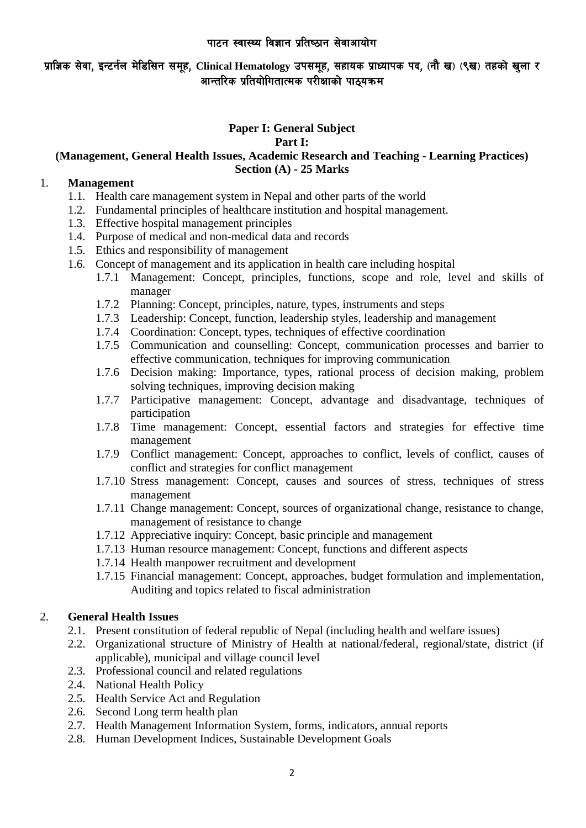# प्राज्ञिक सेवा, इन्टर्नल मेडिसिन समूह, Clinical Hematology उपसमूह, सहायक प्राध्यापक पद, (नौ ख) (९ख) तहको खुला र आन्तरिक प्रतियोगितात्मक परीक्षाको पाठयक्रम

# **Paper I: General Subject**

### **Part I:**

# **(Management, General Health Issues, Academic Research and Teaching - Learning Practices) Section (A) - 25 Marks**

### 1. **Management**

- 1.1. Health care management system in Nepal and other parts of the world
- 1.2. Fundamental principles of healthcare institution and hospital management.
- 1.3. Effective hospital management principles
- 1.4. Purpose of medical and non-medical data and records
- 1.5. Ethics and responsibility of management
- 1.6. Concept of management and its application in health care including hospital
	- 1.7.1 Management: Concept, principles, functions, scope and role, level and skills of manager
	- 1.7.2 Planning: Concept, principles, nature, types, instruments and steps
	- 1.7.3 Leadership: Concept, function, leadership styles, leadership and management
	- 1.7.4 Coordination: Concept, types, techniques of effective coordination
	- 1.7.5 Communication and counselling: Concept, communication processes and barrier to effective communication, techniques for improving communication
	- 1.7.6 Decision making: Importance, types, rational process of decision making, problem solving techniques, improving decision making
	- 1.7.7 Participative management: Concept, advantage and disadvantage, techniques of participation
	- 1.7.8 Time management: Concept, essential factors and strategies for effective time management
	- 1.7.9 Conflict management: Concept, approaches to conflict, levels of conflict, causes of conflict and strategies for conflict management
	- 1.7.10 Stress management: Concept, causes and sources of stress, techniques of stress management
	- 1.7.11 Change management: Concept, sources of organizational change, resistance to change, management of resistance to change
	- 1.7.12 Appreciative inquiry: Concept, basic principle and management
	- 1.7.13 Human resource management: Concept, functions and different aspects
	- 1.7.14 Health manpower recruitment and development
	- 1.7.15 Financial management: Concept, approaches, budget formulation and implementation, Auditing and topics related to fiscal administration

# 2. **General Health Issues**

- 2.1. Present constitution of federal republic of Nepal (including health and welfare issues)
- 2.2. Organizational structure of Ministry of Health at national/federal, regional/state, district (if applicable), municipal and village council level
- 2.3. Professional council and related regulations
- 2.4. National Health Policy
- 2.5. Health Service Act and Regulation
- 2.6. Second Long term health plan
- 2.7. Health Management Information System, forms, indicators, annual reports
- 2.8. Human Development Indices, Sustainable Development Goals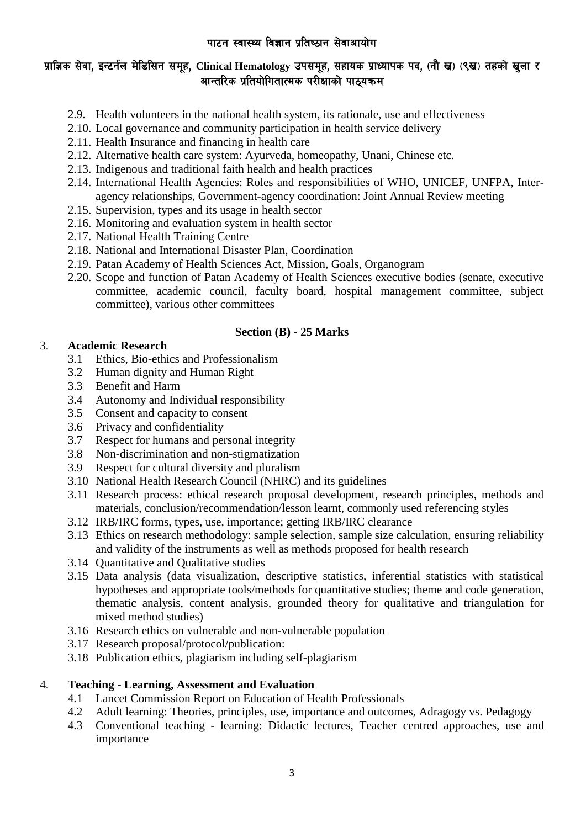# प्राज्ञिक सेवा, इन्टर्नल मेडिसिन समूह, Clinical Hematology उपसमूह, सहायक प्राध्यापक पद, (नौ ख) (९ख) तहको खुला र आन्तरिक प्रतियोगितात्मक परीक्षाको पाठयक्रम

- 2.9. Health volunteers in the national health system, its rationale, use and effectiveness
- 2.10. Local governance and community participation in health service delivery
- 2.11. Health Insurance and financing in health care
- 2.12. Alternative health care system: Ayurveda, homeopathy, Unani, Chinese etc.
- 2.13. Indigenous and traditional faith health and health practices
- 2.14. International Health Agencies: Roles and responsibilities of WHO, UNICEF, UNFPA, Interagency relationships, Government-agency coordination: Joint Annual Review meeting
- 2.15. Supervision, types and its usage in health sector
- 2.16. Monitoring and evaluation system in health sector
- 2.17. National Health Training Centre
- 2.18. National and International Disaster Plan, Coordination
- 2.19. Patan Academy of Health Sciences Act, Mission, Goals, Organogram
- 2.20. Scope and function of Patan Academy of Health Sciences executive bodies (senate, executive committee, academic council, faculty board, hospital management committee, subject committee), various other committees

# **Section (B) - 25 Marks**

## 3. **Academic Research**

- 3.1 Ethics, Bio-ethics and Professionalism
- 3.2 Human dignity and Human Right
- 3.3 Benefit and Harm
- 3.4 Autonomy and Individual responsibility
- 3.5 Consent and capacity to consent
- 3.6 Privacy and confidentiality
- 3.7 Respect for humans and personal integrity
- 3.8 Non-discrimination and non-stigmatization
- 3.9 Respect for cultural diversity and pluralism
- 3.10 National Health Research Council (NHRC) and its guidelines
- 3.11 Research process: ethical research proposal development, research principles, methods and materials, conclusion/recommendation/lesson learnt, commonly used referencing styles
- 3.12 IRB/IRC forms, types, use, importance; getting IRB/IRC clearance
- 3.13 Ethics on research methodology: sample selection, sample size calculation, ensuring reliability and validity of the instruments as well as methods proposed for health research
- 3.14 Quantitative and Qualitative studies
- 3.15 Data analysis (data visualization, descriptive statistics, inferential statistics with statistical hypotheses and appropriate tools/methods for quantitative studies; theme and code generation, thematic analysis, content analysis, grounded theory for qualitative and triangulation for mixed method studies)
- 3.16 Research ethics on vulnerable and non-vulnerable population
- 3.17 Research proposal/protocol/publication:
- 3.18 Publication ethics, plagiarism including self-plagiarism

# 4. **Teaching - Learning, Assessment and Evaluation**

- 4.1 Lancet Commission Report on Education of Health Professionals
- 4.2 Adult learning: Theories, principles, use, importance and outcomes, Adragogy vs. Pedagogy
- 4.3 Conventional teaching learning: Didactic lectures, Teacher centred approaches, use and importance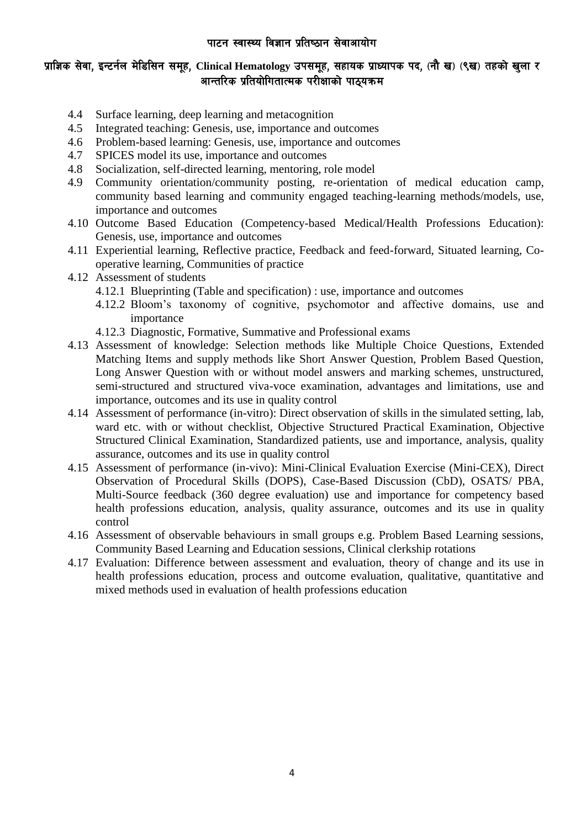## प्राज्ञिक सेवा, इन्टर्नल मेडिसिन समूह, Clinical Hematology उपसमूह, सहायक प्राध्यापक पद, (नौ ख) (९ख) तहको खुला र आन्तरिक प्रतियोगितात्मक परीक्षाको पाठयक्रम

- 4.4 Surface learning, deep learning and metacognition
- 4.5 Integrated teaching: Genesis, use, importance and outcomes
- 4.6 Problem-based learning: Genesis, use, importance and outcomes
- 4.7 SPICES model its use, importance and outcomes
- 4.8 Socialization, self-directed learning, mentoring, role model
- 4.9 Community orientation/community posting, re-orientation of medical education camp, community based learning and community engaged teaching-learning methods/models, use, importance and outcomes
- 4.10 Outcome Based Education (Competency-based Medical/Health Professions Education): Genesis, use, importance and outcomes
- 4.11 Experiential learning, Reflective practice, Feedback and feed-forward, Situated learning, Cooperative learning, Communities of practice
- 4.12 Assessment of students
	- 4.12.1 Blueprinting (Table and specification) : use, importance and outcomes
	- 4.12.2 Bloom's taxonomy of cognitive, psychomotor and affective domains, use and importance
	- 4.12.3 Diagnostic, Formative, Summative and Professional exams
- 4.13 Assessment of knowledge: Selection methods like Multiple Choice Questions, Extended Matching Items and supply methods like Short Answer Question, Problem Based Question, Long Answer Question with or without model answers and marking schemes, unstructured, semi-structured and structured viva-voce examination, advantages and limitations, use and importance, outcomes and its use in quality control
- 4.14 Assessment of performance (in-vitro): Direct observation of skills in the simulated setting, lab, ward etc. with or without checklist, Objective Structured Practical Examination, Objective Structured Clinical Examination, Standardized patients, use and importance, analysis, quality assurance, outcomes and its use in quality control
- 4.15 Assessment of performance (in-vivo): Mini-Clinical Evaluation Exercise (Mini-CEX), Direct Observation of Procedural Skills (DOPS), Case-Based Discussion (CbD), OSATS/ PBA, Multi-Source feedback (360 degree evaluation) use and importance for competency based health professions education, analysis, quality assurance, outcomes and its use in quality control
- 4.16 Assessment of observable behaviours in small groups e.g. Problem Based Learning sessions, Community Based Learning and Education sessions, Clinical clerkship rotations
- 4.17 Evaluation: Difference between assessment and evaluation, theory of change and its use in health professions education, process and outcome evaluation, qualitative, quantitative and mixed methods used in evaluation of health professions education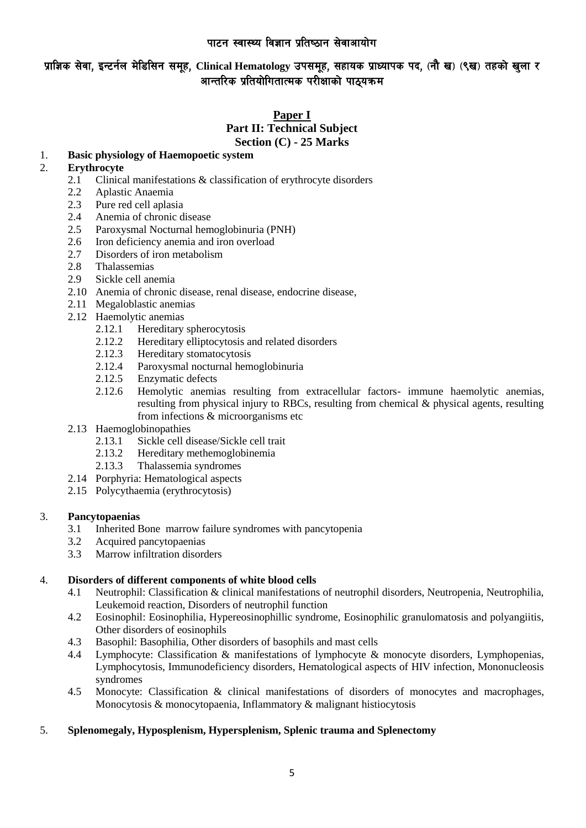# प्राज्ञिक सेवा, इन्टर्नल मेडिसिन समूह, Clinical Hematology उपसमुह, सहायक प्राध्यापक पद, (नौ ख) (९ख) तहको खुला र आन्तरिक प्रतियोगितात्मक परीक्षाको पाठयक्रम

## **Paper I Part II: Technical Subject Section (C) - 25 Marks**

# 1. **Basic physiology of Haemopoetic system**

### 2. **Erythrocyte**

- 2.1 Clinical manifestations & classification of erythrocyte disorders
- 2.2 Aplastic Anaemia
- 2.3 Pure red cell aplasia
- 2.4 Anemia of chronic disease
- 2.5 Paroxysmal Nocturnal hemoglobinuria (PNH)
- 2.6 Iron deficiency anemia and iron overload
- 2.7 Disorders of iron metabolism
- 2.8 Thalassemias
- 2.9 Sickle cell anemia
- 2.10 Anemia of chronic disease, renal disease, endocrine disease,
- 2.11 Megaloblastic anemias
- 2.12 Haemolytic anemias
	- 2.12.1 Hereditary spherocytosis<br>2.12.2 Hereditary elliptocytosis
	- Hereditary elliptocytosis and related disorders
	- 2.12.3 Hereditary stomatocytosis
	- 2.12.4 Paroxysmal nocturnal hemoglobinuria
	- 2.12.5 Enzymatic defects
	- 2.12.6 Hemolytic anemias resulting from extracellular factors- immune haemolytic anemias, resulting from physical injury to RBCs, resulting from chemical & physical agents, resulting from infections & microorganisms etc
- 2.13 Haemoglobinopathies
	- 2.13.1 Sickle cell disease/Sickle cell trait
	- 2.13.2 Hereditary methemoglobinemia
	- 2.13.3 Thalassemia syndromes
- 2.14 Porphyria: Hematological aspects
- 2.15 Polycythaemia (erythrocytosis)

### 3. **Pancytopaenias**

- 3.1 Inherited Bone marrow failure syndromes with pancytopenia
- 3.2 Acquired pancytopaenias
- 3.3 Marrow infiltration disorders

### 4. **Disorders of different components of white blood cells**

- 4.1 Neutrophil: Classification & clinical manifestations of neutrophil disorders, Neutropenia, Neutrophilia, Leukemoid reaction, Disorders of neutrophil function
- 4.2 Eosinophil: Eosinophilia, Hypereosinophillic syndrome, Eosinophilic granulomatosis and polyangiitis, Other disorders of eosinophils
- 4.3 Basophil: Basophilia, Other disorders of basophils and mast cells
- 4.4 Lymphocyte: Classification & manifestations of lymphocyte & monocyte disorders, Lymphopenias, Lymphocytosis, Immunodeficiency disorders, Hematological aspects of HIV infection, Mononucleosis syndromes
- 4.5 Monocyte: Classification & clinical manifestations of disorders of monocytes and macrophages, Monocytosis & monocytopaenia, Inflammatory & malignant histiocytosis

### 5. **Splenomegaly, Hyposplenism, Hypersplenism, Splenic trauma and Splenectomy**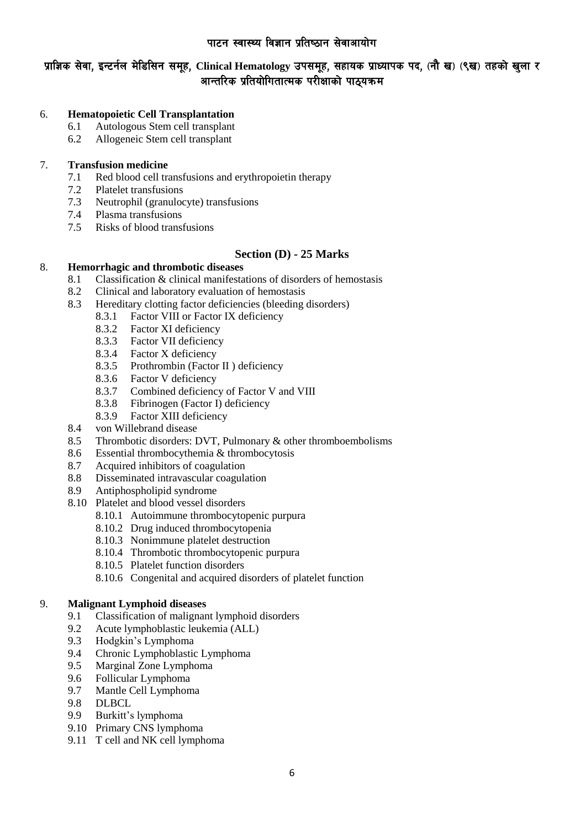# <u>प्रा</u>ज्ञिक सेवा, इन्टर्नल मेडिसिन समूह, Clinical Hematology उपसमुह, सहायक प्राध्यापक पद, (नौ ख) (९ख) तहको खुला र आन्तरिक प्रतियोगितात्मक परीक्षाको पाठयक्रम

### 6. **Hematopoietic Cell Transplantation**

- 6.1 Autologous Stem cell transplant
- 6.2 Allogeneic Stem cell transplant

### 7. **Transfusion medicine**

- 7.1 Red blood cell transfusions and erythropoietin therapy
- 7.2 Platelet transfusions
- 7.3 Neutrophil (granulocyte) transfusions
- 7.4 Plasma transfusions
- 7.5 Risks of blood transfusions

### **Section (D) - 25 Marks**

### 8. **Hemorrhagic and thrombotic diseases**

- 8.1 Classification & clinical manifestations of disorders of hemostasis
- 8.2 Clinical and laboratory evaluation of hemostasis
- 8.3 Hereditary clotting factor deficiencies (bleeding disorders)
	- 8.3.1 Factor VIII or Factor IX deficiency
	- 8.3.2 Factor XI deficiency
	- 8.3.3 Factor VII deficiency
	- 8.3.4 Factor X deficiency
	- 8.3.5 Prothrombin (Factor II ) deficiency
	- 8.3.6 Factor V deficiency
	- 8.3.7 Combined deficiency of Factor V and VIII
	- 8.3.8 Fibrinogen (Factor I) deficiency
	- 8.3.9 Factor XIII deficiency
- 8.4 von Willebrand disease
- 8.5 Thrombotic disorders: DVT, Pulmonary & other thromboembolisms
- 8.6 Essential thrombocythemia & thrombocytosis
- 8.7 Acquired inhibitors of coagulation
- 8.8 Disseminated intravascular coagulation
- 8.9 Antiphospholipid syndrome
- 8.10 Platelet and blood vessel disorders
	- 8.10.1 Autoimmune thrombocytopenic purpura
	- 8.10.2 Drug induced thrombocytopenia
	- 8.10.3 Nonimmune platelet destruction
	- 8.10.4 Thrombotic thrombocytopenic purpura
	- 8.10.5 Platelet function disorders
	- 8.10.6 Congenital and acquired disorders of platelet function

### 9. **Malignant Lymphoid diseases**

- 9.1 Classification of malignant lymphoid disorders
- 9.2 Acute lymphoblastic leukemia (ALL)
- 9.3 Hodgkin's Lymphoma
- 9.4 Chronic Lymphoblastic Lymphoma
- 9.5 Marginal Zone Lymphoma
- 9.6 Follicular Lymphoma
- 9.7 Mantle Cell Lymphoma
- 9.8 DLBCL
- 9.9 Burkitt's lymphoma
- 9.10 Primary CNS lymphoma
- 9.11 T cell and NK cell lymphoma